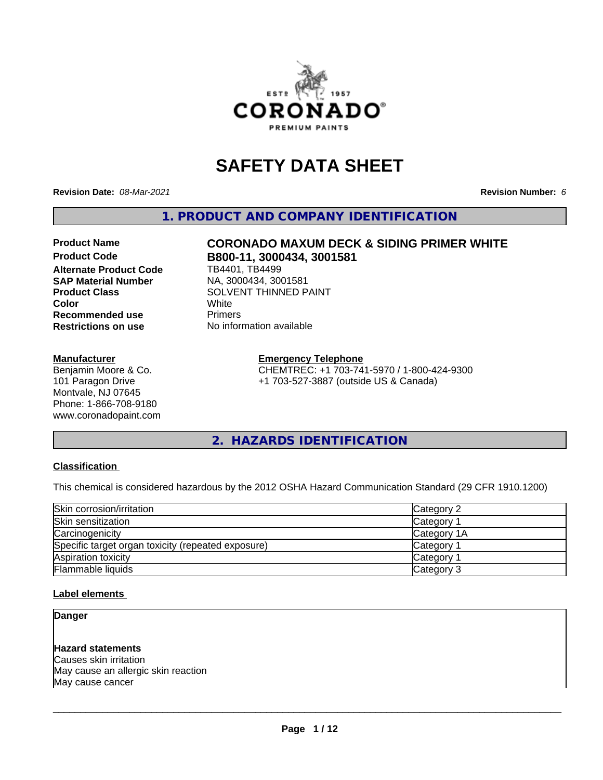

## **SAFETY DATA SHEET**

**Revision Date:** *08-Mar-2021* **Revision Number:** *6*

**1. PRODUCT AND COMPANY IDENTIFICATION**

# Product Name **CORONADO MAXUM DECK & SIDING PRIMER WHITE**<br>Product Code **RAGGET RAGGETS** 3000434 3001581

**Alternate Product Code SAP Material Number** NA, 3000434, 3001581 **Recommended use** Primers<br> **Restrictions on use No information available Restrictions on use** 

#### **Manufacturer**

Benjamin Moore & Co. 101 Paragon Drive Montvale, NJ 07645 Phone: 1-866-708-9180 www.coronadopaint.com

**Product Code B800-11, 3000434, 3001581 Product Class**<br>
Color<br>
White<br>
White **Color** White

> **Emergency Telephone** CHEMTREC: +1 703-741-5970 / 1-800-424-9300 +1 703-527-3887 (outside US & Canada)

**2. HAZARDS IDENTIFICATION**

#### **Classification**

This chemical is considered hazardous by the 2012 OSHA Hazard Communication Standard (29 CFR 1910.1200)

| Skin corrosion/irritation                          | Category 2        |  |
|----------------------------------------------------|-------------------|--|
| Skin sensitization                                 | <b>Category 1</b> |  |
| Carcinogenicity                                    | Category 1A       |  |
| Specific target organ toxicity (repeated exposure) | Category 1        |  |
| Aspiration toxicity                                | Category 1        |  |
| Flammable liquids                                  | Category 3        |  |

#### **Label elements**

**Danger**

#### **Hazard statements**

Causes skin irritation May cause an allergic skin reaction May cause cancer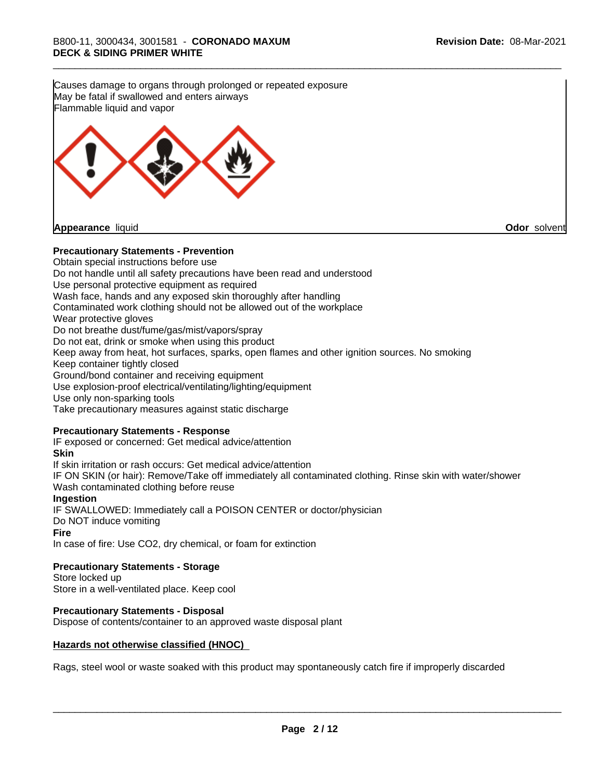**Precautionary Statements - Prevention** Obtain special instructions before use Do not handle until all safety precautions have been read and understood Use personal protective equipment as required Wash face, hands and any exposed skin thoroughly after handling Contaminated work clothing should not be allowed out of the workplace Wear protective gloves Do not breathe dust/fume/gas/mist/vapors/spray Do not eat, drink or smoke when using this product Keep away from heat, hot surfaces, sparks, open flames and other ignition sources. No smoking Keep container tightly closed Ground/bond container and receiving equipment Use explosion-proof electrical/ventilating/lighting/equipment Use only non-sparking tools Take precautionary measures against static discharge **Precautionary Statements - Response** IF exposed or concerned: Get medical advice/attention **Skin** If skin irritation or rash occurs: Get medical advice/attention IF ON SKIN (or hair): Remove/Take off immediately all contaminated clothing. Rinse skin with water/shower Wash contaminated clothing before reuse **Ingestion** IF SWALLOWED: Immediately call a POISON CENTER or doctor/physician Do NOT induce vomiting **Fire** In case of fire: Use CO2, dry chemical, or foam for extinction **Precautionary Statements - Storage** Store locked up Store in a well-ventilated place. Keep cool **Precautionary Statements - Disposal** Dispose of contents/container to an approved waste disposal plant **Hazards not otherwise classified (HNOC)** Rags, steel wool or waste soaked with this product may spontaneously catch fire if improperly discarded Causes damage to organs through prolonged or repeated exposure May be fatal if swallowed and enters airways Flammable liquid and vapor **Appearance** liquid **Odor** solvent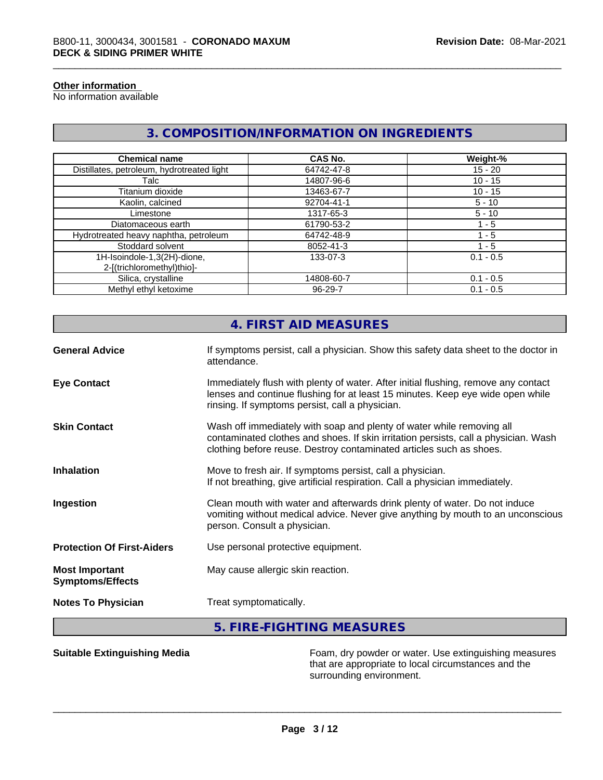#### **Other information**

No information available

### **3. COMPOSITION/INFORMATION ON INGREDIENTS**

| <b>Chemical name</b>                                      | <b>CAS No.</b> | Weight-%    |
|-----------------------------------------------------------|----------------|-------------|
| Distillates, petroleum, hydrotreated light                | 64742-47-8     | $15 - 20$   |
| Talc                                                      | 14807-96-6     | $10 - 15$   |
| Titanium dioxide                                          | 13463-67-7     | $10 - 15$   |
| Kaolin, calcined                                          | 92704-41-1     | $5 - 10$    |
| Limestone                                                 | 1317-65-3      | $5 - 10$    |
| Diatomaceous earth                                        | 61790-53-2     | 1 - 5       |
| Hydrotreated heavy naphtha, petroleum                     | 64742-48-9     | 1 - 5       |
| Stoddard solvent                                          | 8052-41-3      | - 5         |
| 1H-Isoindole-1,3(2H)-dione,<br>2-[(trichloromethyl)thio]- | 133-07-3       | $0.1 - 0.5$ |
| Silica, crystalline                                       | 14808-60-7     | $0.1 - 0.5$ |
| Methyl ethyl ketoxime                                     | $96 - 29 - 7$  | $0.1 - 0.5$ |

|                                                                         | 4. FIRST AID MEASURES                                                                                                                                                                                                               |
|-------------------------------------------------------------------------|-------------------------------------------------------------------------------------------------------------------------------------------------------------------------------------------------------------------------------------|
| <b>General Advice</b>                                                   | If symptoms persist, call a physician. Show this safety data sheet to the doctor in<br>attendance.                                                                                                                                  |
| <b>Eye Contact</b>                                                      | Immediately flush with plenty of water. After initial flushing, remove any contact<br>lenses and continue flushing for at least 15 minutes. Keep eye wide open while<br>rinsing. If symptoms persist, call a physician.             |
| <b>Skin Contact</b>                                                     | Wash off immediately with soap and plenty of water while removing all<br>contaminated clothes and shoes. If skin irritation persists, call a physician. Wash<br>clothing before reuse. Destroy contaminated articles such as shoes. |
| <b>Inhalation</b>                                                       | Move to fresh air. If symptoms persist, call a physician.<br>If not breathing, give artificial respiration. Call a physician immediately.                                                                                           |
| Ingestion                                                               | Clean mouth with water and afterwards drink plenty of water. Do not induce<br>vomiting without medical advice. Never give anything by mouth to an unconscious<br>person. Consult a physician.                                       |
| <b>Protection Of First-Aiders</b><br>Use personal protective equipment. |                                                                                                                                                                                                                                     |
| <b>Most Important</b><br><b>Symptoms/Effects</b>                        | May cause allergic skin reaction.                                                                                                                                                                                                   |
| <b>Notes To Physician</b>                                               | Treat symptomatically.                                                                                                                                                                                                              |
|                                                                         | 5. FIRE-FIGHTING MEASURES                                                                                                                                                                                                           |

**Suitable Extinguishing Media** Foam, dry powder or water. Use extinguishing measures that are appropriate to local circumstances and the surrounding environment.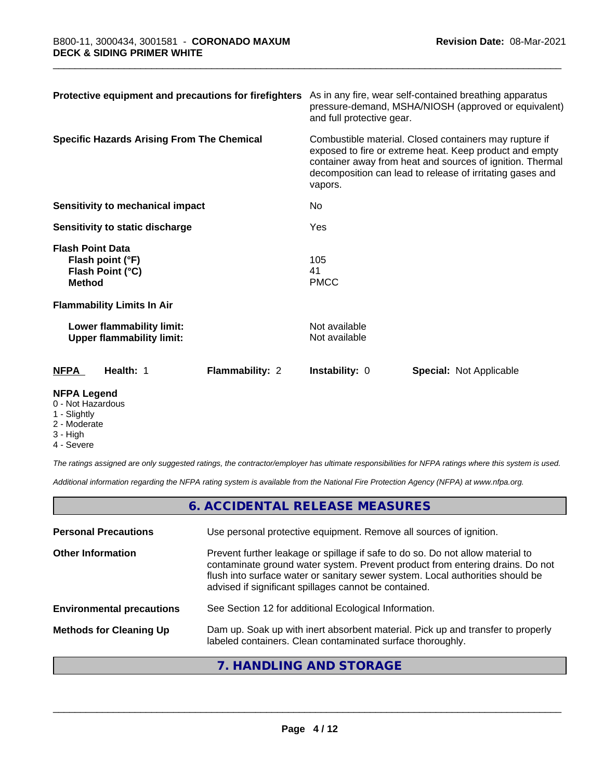| Protective equipment and precautions for firefighters                            | As in any fire, wear self-contained breathing apparatus<br>pressure-demand, MSHA/NIOSH (approved or equivalent)<br>and full protective gear.                                                                                                           |                                |  |
|----------------------------------------------------------------------------------|--------------------------------------------------------------------------------------------------------------------------------------------------------------------------------------------------------------------------------------------------------|--------------------------------|--|
| <b>Specific Hazards Arising From The Chemical</b>                                | Combustible material. Closed containers may rupture if<br>exposed to fire or extreme heat. Keep product and empty<br>container away from heat and sources of ignition. Thermal<br>decomposition can lead to release of irritating gases and<br>vapors. |                                |  |
| Sensitivity to mechanical impact                                                 | No.                                                                                                                                                                                                                                                    |                                |  |
| Sensitivity to static discharge                                                  | Yes                                                                                                                                                                                                                                                    |                                |  |
| <b>Flash Point Data</b><br>Flash point (°F)<br>Flash Point (°C)<br><b>Method</b> | 105<br>41<br><b>PMCC</b>                                                                                                                                                                                                                               |                                |  |
| <b>Flammability Limits In Air</b>                                                |                                                                                                                                                                                                                                                        |                                |  |
| Lower flammability limit:<br><b>Upper flammability limit:</b>                    | Not available<br>Not available                                                                                                                                                                                                                         |                                |  |
| <b>NFPA</b><br>Flammability: 2<br>Health: 1                                      | Instability: 0                                                                                                                                                                                                                                         | <b>Special: Not Applicable</b> |  |

#### **NFPA Legend**

#### 0 - Not Hazardous

- 1 Slightly
- 2 Moderate
- 3 High
- 4 Severe

*The ratings assigned are only suggested ratings, the contractor/employer has ultimate responsibilities for NFPA ratings where this system is used.*

*Additional information regarding the NFPA rating system is available from the National Fire Protection Agency (NFPA) at www.nfpa.org.*

|                                  | 6. ACCIDENTAL RELEASE MEASURES                                                                                                                                                                                                                                                                             |
|----------------------------------|------------------------------------------------------------------------------------------------------------------------------------------------------------------------------------------------------------------------------------------------------------------------------------------------------------|
| <b>Personal Precautions</b>      | Use personal protective equipment. Remove all sources of ignition.                                                                                                                                                                                                                                         |
| <b>Other Information</b>         | Prevent further leakage or spillage if safe to do so. Do not allow material to<br>contaminate ground water system. Prevent product from entering drains. Do not<br>flush into surface water or sanitary sewer system. Local authorities should be<br>advised if significant spillages cannot be contained. |
| <b>Environmental precautions</b> | See Section 12 for additional Ecological Information.                                                                                                                                                                                                                                                      |
| <b>Methods for Cleaning Up</b>   | Dam up. Soak up with inert absorbent material. Pick up and transfer to properly<br>labeled containers. Clean contaminated surface thoroughly.                                                                                                                                                              |
|                                  | 7. HANDLING AND STORAGE                                                                                                                                                                                                                                                                                    |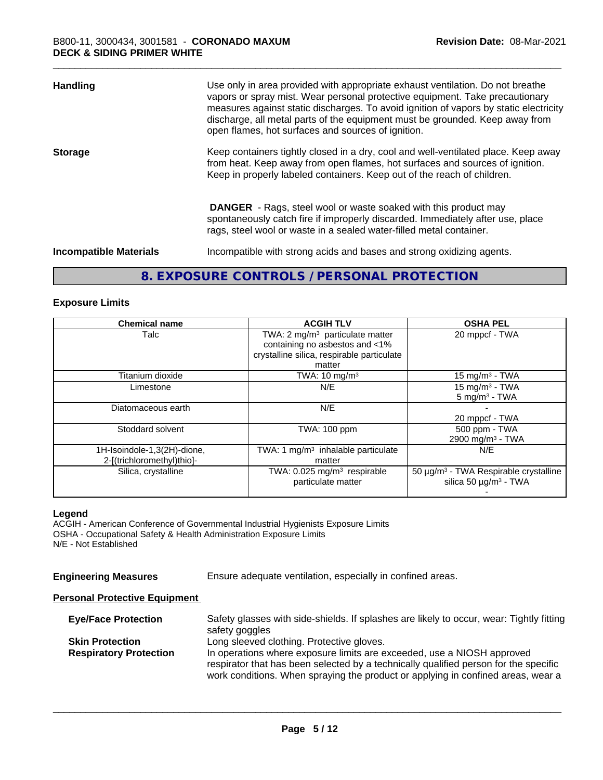| <b>Handling</b>               | Use only in area provided with appropriate exhaust ventilation. Do not breathe<br>vapors or spray mist. Wear personal protective equipment. Take precautionary<br>measures against static discharges. To avoid ignition of vapors by static electricity<br>discharge, all metal parts of the equipment must be grounded. Keep away from<br>open flames, hot surfaces and sources of ignition. |
|-------------------------------|-----------------------------------------------------------------------------------------------------------------------------------------------------------------------------------------------------------------------------------------------------------------------------------------------------------------------------------------------------------------------------------------------|
| <b>Storage</b>                | Keep containers tightly closed in a dry, cool and well-ventilated place. Keep away<br>from heat. Keep away from open flames, hot surfaces and sources of ignition.<br>Keep in properly labeled containers. Keep out of the reach of children.                                                                                                                                                 |
|                               | <b>DANGER</b> - Rags, steel wool or waste soaked with this product may<br>spontaneously catch fire if improperly discarded. Immediately after use, place<br>rags, steel wool or waste in a sealed water-filled metal container.                                                                                                                                                               |
| <b>Incompatible Materials</b> | Incompatible with strong acids and bases and strong oxidizing agents.                                                                                                                                                                                                                                                                                                                         |

### **8. EXPOSURE CONTROLS / PERSONAL PROTECTION**

#### **Exposure Limits**

| <b>Chemical name</b>                                      | <b>ACGIH TLV</b>                                                                                                                      | <b>OSHA PEL</b>                                                                             |
|-----------------------------------------------------------|---------------------------------------------------------------------------------------------------------------------------------------|---------------------------------------------------------------------------------------------|
| Talc                                                      | TWA: 2 mg/m <sup>3</sup> particulate matter<br>containing no asbestos and <1%<br>crystalline silica, respirable particulate<br>matter | 20 mppcf - TWA                                                                              |
| Titanium dioxide                                          | TWA: $10 \text{ mg/m}^3$                                                                                                              | $15 \text{ mg/m}^3$ - TWA                                                                   |
| Limestone                                                 | N/E                                                                                                                                   | 15 mg/m <sup>3</sup> - TWA<br>$5 \text{ mg/m}^3$ - TWA                                      |
| Diatomaceous earth                                        | N/E                                                                                                                                   | 20 mppcf - TWA                                                                              |
| Stoddard solvent                                          | TWA: 100 ppm                                                                                                                          | 500 ppm - TWA<br>2900 mg/m <sup>3</sup> - TWA                                               |
| 1H-Isoindole-1,3(2H)-dione,<br>2-[(trichloromethyl)thio]- | TWA: 1 $mg/m3$ inhalable particulate<br>matter                                                                                        | N/E                                                                                         |
| Silica, crystalline                                       | TWA: $0.025$ mg/m <sup>3</sup> respirable<br>particulate matter                                                                       | 50 µg/m <sup>3</sup> - TWA Respirable crystalline<br>silica 50 $\mu$ g/m <sup>3</sup> - TWA |

#### **Legend**

ACGIH - American Conference of Governmental Industrial Hygienists Exposure Limits OSHA - Occupational Safety & Health Administration Exposure Limits N/E - Not Established

**Engineering Measures** Ensure adequate ventilation, especially in confined areas.

#### **Personal Protective Equipment**

| <b>Eye/Face Protection</b>    | Safety glasses with side-shields. If splashes are likely to occur, wear: Tightly fitting                                                                                 |
|-------------------------------|--------------------------------------------------------------------------------------------------------------------------------------------------------------------------|
|                               | safety goggles                                                                                                                                                           |
| <b>Skin Protection</b>        | Long sleeved clothing. Protective gloves.                                                                                                                                |
| <b>Respiratory Protection</b> | In operations where exposure limits are exceeded, use a NIOSH approved                                                                                                   |
|                               | respirator that has been selected by a technically qualified person for the specific<br>work conditions. When spraying the product or applying in confined areas, wear a |
|                               |                                                                                                                                                                          |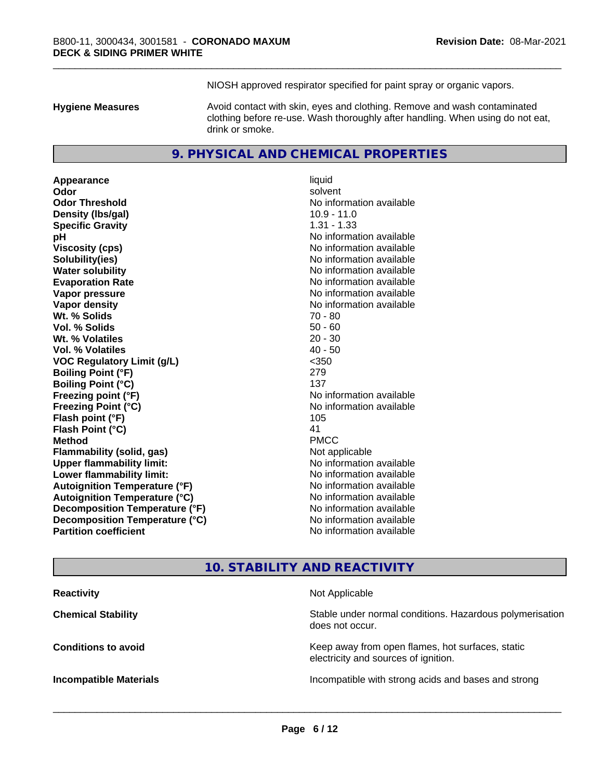NIOSH approved respirator specified for paint spray or organic vapors.

**Hygiene Measures** Avoid contact with skin, eyes and clothing. Remove and wash contaminated clothing before re-use. Wash thoroughly after handling. When using do not eat, drink or smoke.

#### **9. PHYSICAL AND CHEMICAL PROPERTIES**

**Appearance** liquid **Odor** solvent **Odor Threshold** No information available **Density (lbs/gal)** 10.9 - 11.0 **Specific Gravity** 1.31 - 1.33 **pH pH**  $\blacksquare$ **Viscosity (cps)** No information available **Solubility(ies)** No information available **Water solubility** No information available **Evaporation Rate Evaporation Rate No information available Vapor pressure** No information available **No information available Vapor density No information available No information available Wt. % Solids** 70 - 80 **Vol. % Solids** 50 - 60 **Wt. % Volatiles** 20 - 30 **Vol. % Volatiles** 40 - 50 **VOC Regulatory Limit (g/L)** <350 **Boiling Point (°F)** 279 **Boiling Point (°C)** 137 **Freezing point (°F)**<br> **Freezing Point (°C)**<br> **Freezing Point (°C)**<br> **CO Exercise 2018**<br> **No information available Flash point (°F)** 105 **Flash Point (°C)** 41 **Method** PMCC **Flammability (solid, gas)** Not applicable **Upper flammability limit:** No information available **Lower flammability limit:**  $\qquad \qquad \qquad \text{No information available}$ **Autoignition Temperature (°F)** No information available **Autoignition Temperature (°C)** No information available **Decomposition Temperature (°F)** No information available **Decomposition Temperature (°C)**<br> **Partition coefficient**<br> **Partition coefficient**<br> **No** information available

**Freezing Point (°C)** No information available **No information available** 

### **10. STABILITY AND REACTIVITY**

| <b>Reactivity</b>             | Not Applicable                                                                           |
|-------------------------------|------------------------------------------------------------------------------------------|
| <b>Chemical Stability</b>     | Stable under normal conditions. Hazardous polymerisation<br>does not occur.              |
| <b>Conditions to avoid</b>    | Keep away from open flames, hot surfaces, static<br>electricity and sources of ignition. |
| <b>Incompatible Materials</b> | Incompatible with strong acids and bases and strong                                      |
|                               |                                                                                          |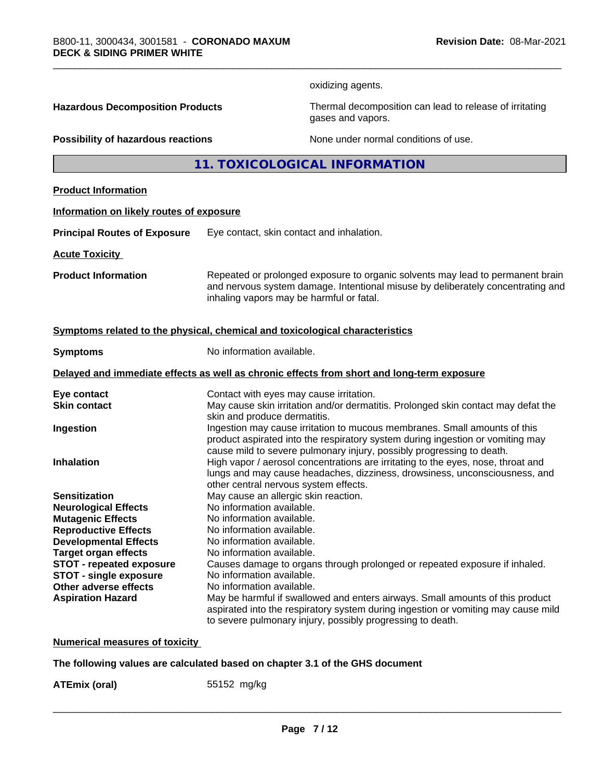oxidizing agents.

**Hazardous Decomposition Products** Thermal decomposition can lead to release of irritating gases and vapors.

**Possibility of hazardous reactions** None under normal conditions of use.

**11. TOXICOLOGICAL INFORMATION**

#### **Product Information**

# **Information on likely routes of exposure**

**Principal Routes of Exposure** Eye contact, skin contact and inhalation.

**Acute Toxicity** 

**Product Information** Repeated or prolonged exposure to organic solvents may lead to permanent brain and nervous system damage. Intentional misuse by deliberately concentrating and inhaling vapors may be harmful or fatal.

#### **Symptoms related to the physical, chemical and toxicological characteristics**

| <b>Symptoms</b>                                                                            | No information available.                                                                                                                                                                                                            |  |  |  |
|--------------------------------------------------------------------------------------------|--------------------------------------------------------------------------------------------------------------------------------------------------------------------------------------------------------------------------------------|--|--|--|
| Delayed and immediate effects as well as chronic effects from short and long-term exposure |                                                                                                                                                                                                                                      |  |  |  |
| Eye contact                                                                                | Contact with eyes may cause irritation.                                                                                                                                                                                              |  |  |  |
| <b>Skin contact</b>                                                                        | May cause skin irritation and/or dermatitis. Prolonged skin contact may defat the<br>skin and produce dermatitis.                                                                                                                    |  |  |  |
| Ingestion                                                                                  | Ingestion may cause irritation to mucous membranes. Small amounts of this<br>product aspirated into the respiratory system during ingestion or vomiting may<br>cause mild to severe pulmonary injury, possibly progressing to death. |  |  |  |
| <b>Inhalation</b>                                                                          | High vapor / aerosol concentrations are irritating to the eyes, nose, throat and<br>lungs and may cause headaches, dizziness, drowsiness, unconsciousness, and<br>other central nervous system effects.                              |  |  |  |
| <b>Sensitization</b>                                                                       | May cause an allergic skin reaction.                                                                                                                                                                                                 |  |  |  |
| <b>Neurological Effects</b>                                                                | No information available.                                                                                                                                                                                                            |  |  |  |
| <b>Mutagenic Effects</b>                                                                   | No information available.                                                                                                                                                                                                            |  |  |  |
| <b>Reproductive Effects</b>                                                                | No information available.                                                                                                                                                                                                            |  |  |  |
| <b>Developmental Effects</b>                                                               | No information available.                                                                                                                                                                                                            |  |  |  |
| <b>Target organ effects</b>                                                                | No information available.                                                                                                                                                                                                            |  |  |  |
| <b>STOT - repeated exposure</b>                                                            | Causes damage to organs through prolonged or repeated exposure if inhaled.                                                                                                                                                           |  |  |  |
| <b>STOT - single exposure</b>                                                              | No information available.                                                                                                                                                                                                            |  |  |  |
| Other adverse effects                                                                      | No information available.                                                                                                                                                                                                            |  |  |  |
| <b>Aspiration Hazard</b>                                                                   | May be harmful if swallowed and enters airways. Small amounts of this product<br>aspirated into the respiratory system during ingestion or vomiting may cause mild<br>to severe pulmonary injury, possibly progressing to death.     |  |  |  |

**Numerical measures of toxicity**

#### **The following values are calculated based on chapter 3.1 of the GHS document**

**ATEmix (oral)** 55152 mg/kg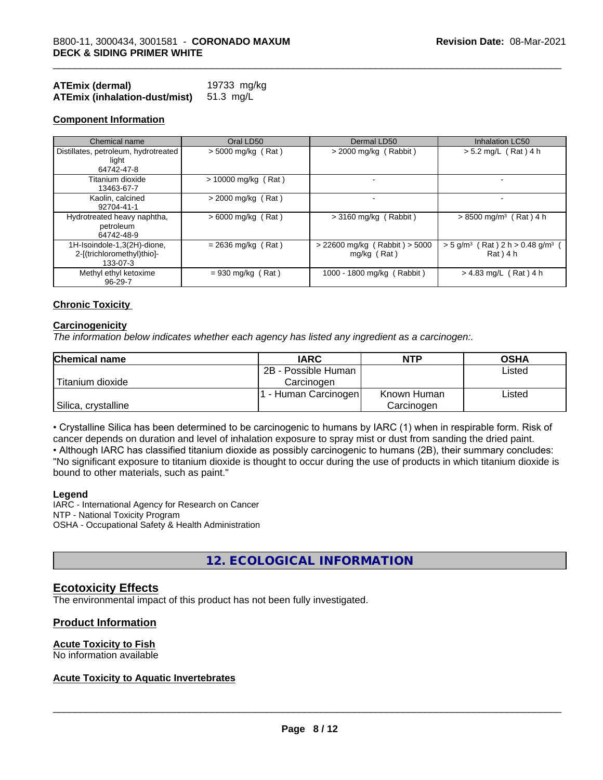| ATEmix (dermal)               | 19733 mg/kg |
|-------------------------------|-------------|
| ATEmix (inhalation-dust/mist) | 51.3 mg/L   |

| Chemical name                                                         | Oral LD50             | Dermal LD50                                        | <b>Inhalation LC50</b>                                                    |
|-----------------------------------------------------------------------|-----------------------|----------------------------------------------------|---------------------------------------------------------------------------|
| Distillates, petroleum, hydrotreated<br>light<br>64742-47-8           | $> 5000$ mg/kg (Rat)  | $>$ 2000 mg/kg (Rabbit)                            | $> 5.2$ mg/L (Rat) 4 h                                                    |
| Titanium dioxide<br>13463-67-7                                        | $> 10000$ mg/kg (Rat) |                                                    |                                                                           |
| Kaolin, calcined<br>92704-41-1                                        | $> 2000$ mg/kg (Rat)  |                                                    |                                                                           |
| Hydrotreated heavy naphtha,<br>petroleum<br>64742-48-9                | $> 6000$ mg/kg (Rat)  | $>$ 3160 mg/kg (Rabbit)                            | $> 8500$ mg/m <sup>3</sup> (Rat) 4 h                                      |
| 1H-Isoindole-1,3(2H)-dione,<br>2-[(trichloromethyl)thio]-<br>133-07-3 | $= 2636$ mg/kg (Rat)  | $> 22600$ mg/kg (Rabbit) $> 5000$<br>$mq/kg$ (Rat) | $>$ 5 g/m <sup>3</sup> (Rat) 2 h $>$ 0.48 g/m <sup>3</sup><br>$Rat$ ) 4 h |
| Methyl ethyl ketoxime<br>$96 - 29 - 7$                                | $= 930$ mg/kg (Rat)   | 1000 - 1800 mg/kg (Rabbit)                         | $> 4.83$ mg/L (Rat) 4 h                                                   |

#### **Chronic Toxicity**

#### **Carcinogenicity**

*The information below indicateswhether each agency has listed any ingredient as a carcinogen:.*

| <b>Chemical name</b> | <b>IARC</b>          | <b>NTP</b>  | <b>OSHA</b> |
|----------------------|----------------------|-------------|-------------|
|                      | 2B - Possible Human  |             | Listed      |
| Titanium dioxide     | Carcinogen           |             |             |
|                      | 1 - Human Carcinogen | Known Human | Listed      |
| Silica, crystalline  |                      | Carcinogen  |             |

• Crystalline Silica has been determined to be carcinogenic to humans by IARC (1) when in respirable form. Risk of cancer depends on duration and level of inhalation exposure to spray mist or dust from sanding the dried paint.

• Although IARC has classified titanium dioxide as possibly carcinogenic to humans (2B), their summary concludes: "No significant exposure to titanium dioxide is thought to occur during the use of products in which titanium dioxide is bound to other materials, such as paint."

#### **Legend**

IARC - International Agency for Research on Cancer NTP - National Toxicity Program OSHA - Occupational Safety & Health Administration

### **12. ECOLOGICAL INFORMATION**

#### **Ecotoxicity Effects**

The environmental impact of this product has not been fully investigated.

#### **Product Information**

#### **Acute Toxicity to Fish**

No information available

#### **Acute Toxicity to Aquatic Invertebrates**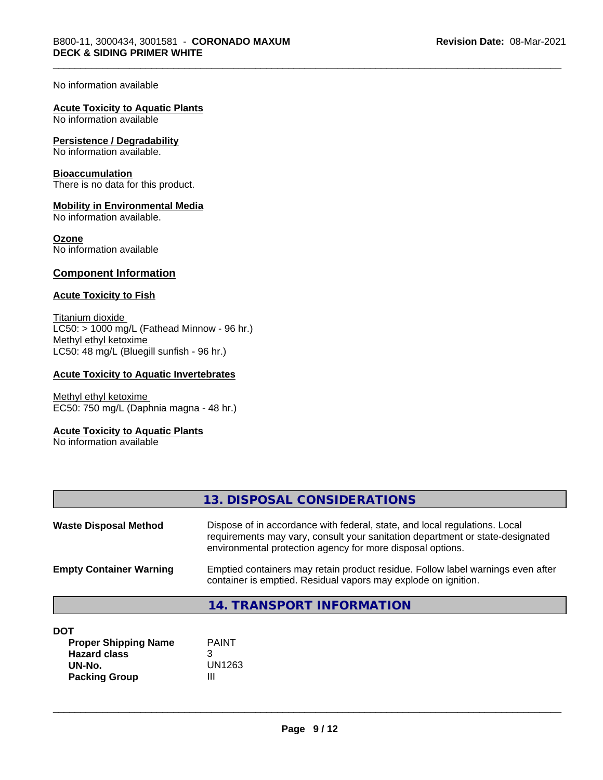No information available

#### **Acute Toxicity to Aquatic Plants**

No information available

#### **Persistence / Degradability**

No information available.

#### **Bioaccumulation**

There is no data for this product.

#### **Mobility in Environmental Media**

No information available.

#### **Ozone**

No information available

#### **Component Information**

#### **Acute Toxicity to Fish**

Titanium dioxide  $LC50:$  > 1000 mg/L (Fathead Minnow - 96 hr.) Methyl ethyl ketoxime LC50: 48 mg/L (Bluegill sunfish - 96 hr.)

#### **Acute Toxicity to Aquatic Invertebrates**

Methyl ethyl ketoxime EC50: 750 mg/L (Daphnia magna - 48 hr.)

#### **Acute Toxicity to Aquatic Plants**

No information available

|                                | 13. DISPOSAL CONSIDERATIONS                                                                                                                                                                                               |
|--------------------------------|---------------------------------------------------------------------------------------------------------------------------------------------------------------------------------------------------------------------------|
| <b>Waste Disposal Method</b>   | Dispose of in accordance with federal, state, and local regulations. Local<br>requirements may vary, consult your sanitation department or state-designated<br>environmental protection agency for more disposal options. |
| <b>Empty Container Warning</b> | Emptied containers may retain product residue. Follow label warnings even after<br>container is emptied. Residual vapors may explode on ignition.                                                                         |
|                                | <b>14. TRANSPORT INFORMATION</b>                                                                                                                                                                                          |
| <b>DOT</b>                     |                                                                                                                                                                                                                           |

| <b>DU</b> 1                 |              |
|-----------------------------|--------------|
| <b>Proper Shipping Name</b> | <b>PAINT</b> |
| <b>Hazard class</b>         |              |
| UN-No.                      | UN1263       |
| <b>Packing Group</b>        |              |
|                             |              |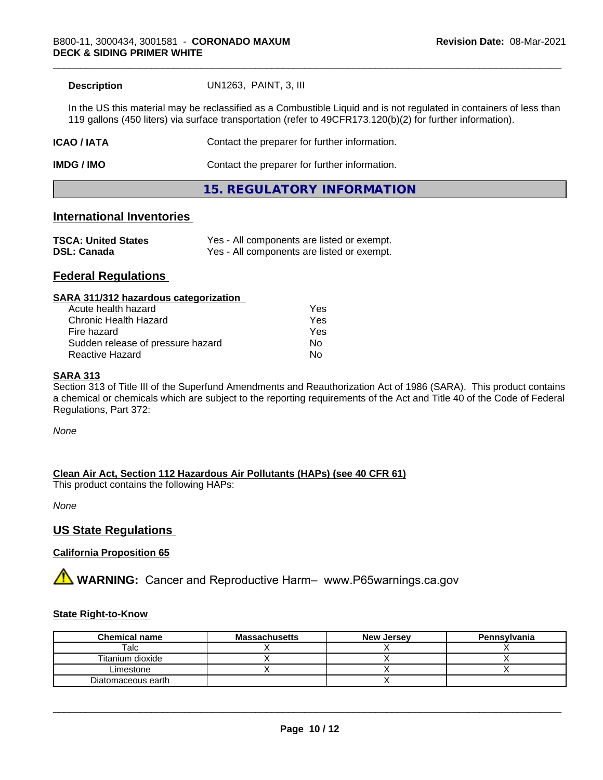**Description** UN1263, PAINT, 3, III

In the US this material may be reclassified as a Combustible Liquid and is not regulated in containers of less than 119 gallons (450 liters) via surface transportation (refer to 49CFR173.120(b)(2) for further information).

| <b>ICAO/IATA</b> | Contact the preparer for further information. |
|------------------|-----------------------------------------------|
| IMDG / IMO       | Contact the preparer for further information. |
|                  | 15. REGULATORY INFORMATION                    |

#### **International Inventories**

| <b>TSCA: United States</b> | Yes - All components are listed or exempt. |
|----------------------------|--------------------------------------------|
| <b>DSL: Canada</b>         | Yes - All components are listed or exempt. |

#### **Federal Regulations**

#### **SARA 311/312 hazardous categorization**

| Acute health hazard               | Yes |
|-----------------------------------|-----|
| Chronic Health Hazard             | Yes |
| Fire hazard                       | Yes |
| Sudden release of pressure hazard | Nο  |
| Reactive Hazard                   | N٥  |

#### **SARA 313**

Section 313 of Title III of the Superfund Amendments and Reauthorization Act of 1986 (SARA). This product contains a chemical or chemicals which are subject to the reporting requirements of the Act and Title 40 of the Code of Federal Regulations, Part 372:

*None*

**Clean Air Act,Section 112 Hazardous Air Pollutants (HAPs) (see 40 CFR 61)**

This product contains the following HAPs:

*None*

#### **US State Regulations**

#### **California Proposition 65**

**AN** WARNING: Cancer and Reproductive Harm– www.P65warnings.ca.gov

#### **State Right-to-Know**

| <b>Chemical name</b> | <b>Massachusetts</b> | <b>New Jersey</b> | Pennsylvania |
|----------------------|----------------------|-------------------|--------------|
| Talc                 |                      |                   |              |
| Titanium dioxide     |                      |                   |              |
| Limestone            |                      |                   |              |
| Diatomaceous earth   |                      |                   |              |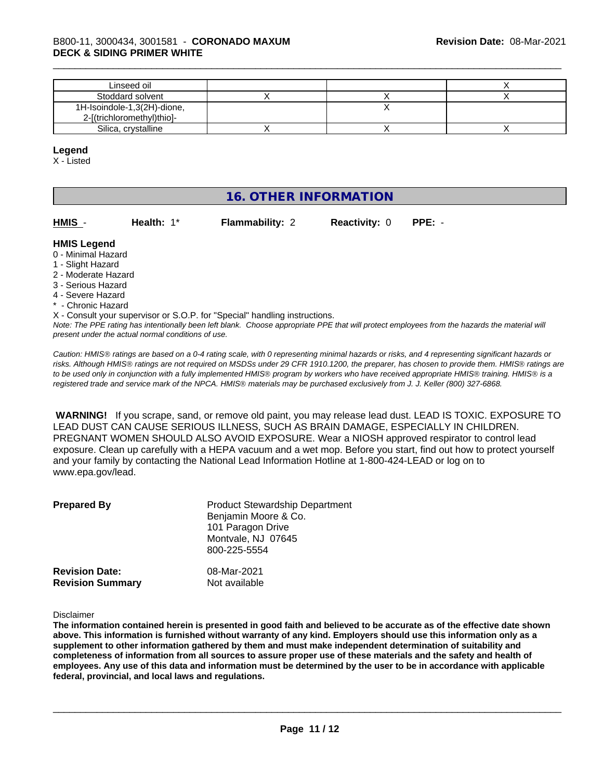| Linseed oil                 |  |  |
|-----------------------------|--|--|
| Stoddard solvent            |  |  |
| 1H-Isoindole-1,3(2H)-dione, |  |  |
| 2-[(trichloromethyl)thio]-  |  |  |
| Silica, crystalline         |  |  |

#### **Legend**

X - Listed

### **16. OTHER INFORMATION**

| HMIS -       | Health: $1^*$ | <b>Flammability: 2</b> | <b>Reactivity: 0 PPE: -</b> |  |
|--------------|---------------|------------------------|-----------------------------|--|
| hnene I RIMH |               |                        |                             |  |

#### **HMIS Legend**

- 0 Minimal Hazard
- 1 Slight Hazard
- 2 Moderate Hazard
- 3 Serious Hazard
- 4 Severe Hazard
- \* Chronic Hazard
- X Consult your supervisor or S.O.P. for "Special" handling instructions.

*Note: The PPE rating has intentionally been left blank. Choose appropriate PPE that will protect employees from the hazards the material will present under the actual normal conditions of use.*

*Caution: HMISÒ ratings are based on a 0-4 rating scale, with 0 representing minimal hazards or risks, and 4 representing significant hazards or risks. Although HMISÒ ratings are not required on MSDSs under 29 CFR 1910.1200, the preparer, has chosen to provide them. HMISÒ ratings are to be used only in conjunction with a fully implemented HMISÒ program by workers who have received appropriate HMISÒ training. HMISÒ is a registered trade and service mark of the NPCA. HMISÒ materials may be purchased exclusively from J. J. Keller (800) 327-6868.*

 **WARNING!** If you scrape, sand, or remove old paint, you may release lead dust. LEAD IS TOXIC. EXPOSURE TO LEAD DUST CAN CAUSE SERIOUS ILLNESS, SUCH AS BRAIN DAMAGE, ESPECIALLY IN CHILDREN. PREGNANT WOMEN SHOULD ALSO AVOID EXPOSURE. Wear a NIOSH approved respirator to control lead exposure. Clean up carefully with a HEPA vacuum and a wet mop. Before you start, find out how to protect yourself and your family by contacting the National Lead Information Hotline at 1-800-424-LEAD or log on to www.epa.gov/lead.

| <b>Prepared By</b>      | <b>Product Stewardship Department</b><br>Benjamin Moore & Co.<br>101 Paragon Drive<br>Montvale, NJ 07645<br>800-225-5554 |
|-------------------------|--------------------------------------------------------------------------------------------------------------------------|
| <b>Revision Date:</b>   | 08-Mar-2021                                                                                                              |
| <b>Revision Summary</b> | Not available                                                                                                            |

Disclaimer

The information contained herein is presented in good faith and believed to be accurate as of the effective date shown above. This information is furnished without warranty of any kind. Employers should use this information only as a **supplement to other information gathered by them and must make independent determination of suitability and** completeness of information from all sources to assure proper use of these materials and the safety and health of employees. Any use of this data and information must be determined by the user to be in accordance with applicable **federal, provincial, and local laws and regulations.**